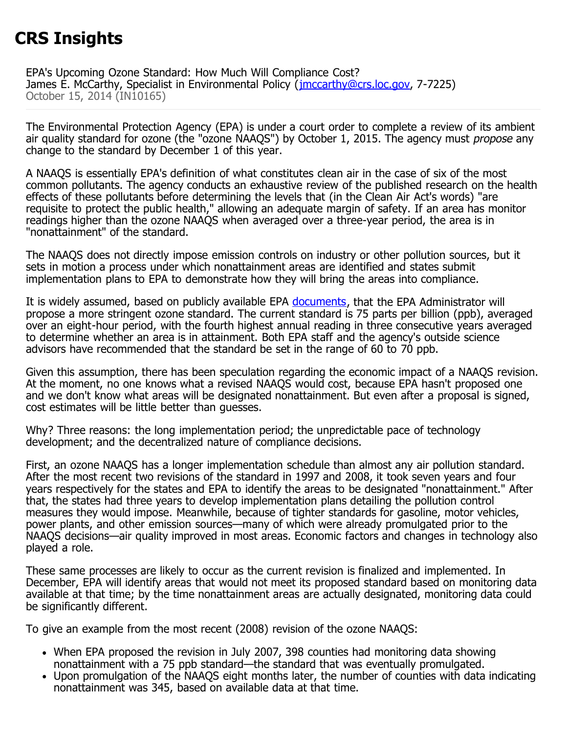## **CRS Insights**

EPA's Upcoming Ozone Standard: How Much Will Compliance Cost? James E. McCarthy, Specialist in Environmental Policy (*[jmccarthy@crs.loc.gov,](mailto:jmccarthy@crs.loc.gov) 7-7225*) October 15, 2014 (IN10165)

The Environmental Protection Agency (EPA) is under a court order to complete a review of its ambient air quality standard for ozone (the "ozone NAAQS") by October 1, 2015. The agency must *propose* any change to the standard by December 1 of this year.

A NAAQS is essentially EPA's definition of what constitutes clean air in the case of six of the most common pollutants. The agency conducts an exhaustive review of the published research on the health effects of these pollutants before determining the levels that (in the Clean Air Act's words) "are requisite to protect the public health," allowing an adequate margin of safety. If an area has monitor readings higher than the ozone NAAQS when averaged over a three-year period, the area is in "nonattainment" of the standard.

The NAAQS does not directly impose emission controls on industry or other pollution sources, but it sets in motion a process under which nonattainment areas are identified and states submit implementation plans to EPA to demonstrate how they will bring the areas into compliance.

It is widely assumed, based on publicly available EPA [documents,](http://www.epa.gov/ttn/naaqs/standards/ozone/data/20140829pa.pdf) that the EPA Administrator will propose a more stringent ozone standard. The current standard is 75 parts per billion (ppb), averaged over an eight-hour period, with the fourth highest annual reading in three consecutive years averaged to determine whether an area is in attainment. Both EPA staff and the agency's outside science advisors have recommended that the standard be set in the range of 60 to 70 ppb.

Given this assumption, there has been speculation regarding the economic impact of a NAAQS revision. At the moment, no one knows what a revised NAAQS would cost, because EPA hasn't proposed one and we don't know what areas will be designated nonattainment. But even after a proposal is signed, cost estimates will be little better than guesses.

Why? Three reasons: the long implementation period; the unpredictable pace of technology development; and the decentralized nature of compliance decisions.

First, an ozone NAAQS has a longer implementation schedule than almost any air pollution standard. After the most recent two revisions of the standard in 1997 and 2008, it took seven years and four years respectively for the states and EPA to identify the areas to be designated "nonattainment." After that, the states had three years to develop implementation plans detailing the pollution control measures they would impose. Meanwhile, because of tighter standards for gasoline, motor vehicles, power plants, and other emission sources—many of which were already promulgated prior to the NAAQS decisions—air quality improved in most areas. Economic factors and changes in technology also played a role.

These same processes are likely to occur as the current revision is finalized and implemented. In December, EPA will identify areas that would not meet its proposed standard based on monitoring data available at that time; by the time nonattainment areas are actually designated, monitoring data could be significantly different.

To give an example from the most recent (2008) revision of the ozone NAAQS:

- When EPA proposed the revision in July 2007, 398 counties had monitoring data showing nonattainment with a 75 ppb standard—the standard that was eventually promulgated.
- Upon promulgation of the NAAQS eight months later, the number of counties with data indicating nonattainment was 345, based on available data at that time.